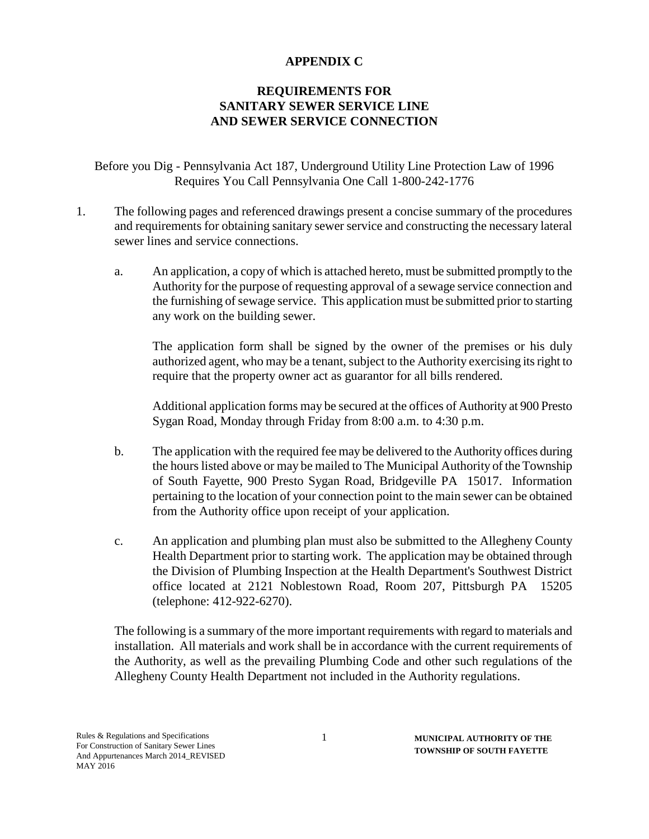## **APPENDIX C**

## **REQUIREMENTS FOR SANITARY SEWER SERVICE LINE AND SEWER SERVICE CONNECTION**

Before you Dig - Pennsylvania Act 187, Underground Utility Line Protection Law of 1996 Requires You Call Pennsylvania One Call 1-800-242-1776

- 1. The following pages and referenced drawings present a concise summary of the procedures and requirements for obtaining sanitary sewer service and constructing the necessary lateral sewer lines and service connections.
	- a. An application, a copy of which is attached hereto, must be submitted promptly to the Authority for the purpose of requesting approval of a sewage service connection and the furnishing of sewage service. This application must be submitted prior to starting any work on the building sewer.

The application form shall be signed by the owner of the premises or his duly authorized agent, who may be a tenant, subject to the Authority exercising its right to require that the property owner act as guarantor for all bills rendered.

Additional application forms may be secured at the offices of Authority at 900 Presto Sygan Road, Monday through Friday from 8:00 a.m. to 4:30 p.m.

- b. The application with the required fee may be delivered to the Authority offices during the hours listed above or may be mailed to The Municipal Authority of the Township of South Fayette, 900 Presto Sygan Road, Bridgeville PA 15017. Information pertaining to the location of your connection point to the main sewer can be obtained from the Authority office upon receipt of your application.
- c. An application and plumbing plan must also be submitted to the Allegheny County Health Department prior to starting work. The application may be obtained through the Division of Plumbing Inspection at the Health Department's Southwest District office located at 2121 Noblestown Road, Room 207, Pittsburgh PA 15205 (telephone: 412-922-6270).

The following is a summary of the more important requirements with regard to materials and installation. All materials and work shall be in accordance with the current requirements of the Authority, as well as the prevailing Plumbing Code and other such regulations of the Allegheny County Health Department not included in the Authority regulations.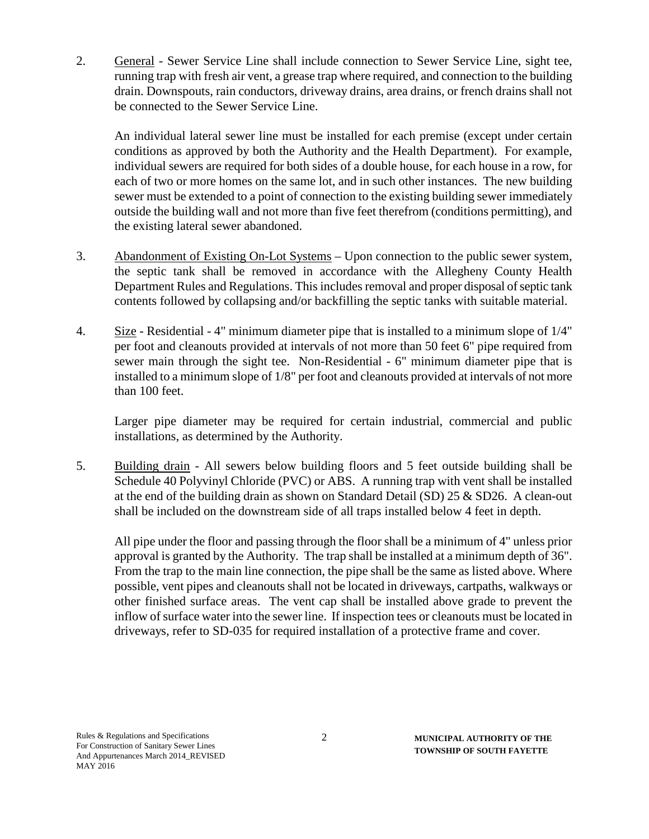2. General - Sewer Service Line shall include connection to Sewer Service Line, sight tee, running trap with fresh air vent, a grease trap where required, and connection to the building drain. Downspouts, rain conductors, driveway drains, area drains, or french drains shall not be connected to the Sewer Service Line.

An individual lateral sewer line must be installed for each premise (except under certain conditions as approved by both the Authority and the Health Department). For example, individual sewers are required for both sides of a double house, for each house in a row, for each of two or more homes on the same lot, and in such other instances. The new building sewer must be extended to a point of connection to the existing building sewer immediately outside the building wall and not more than five feet therefrom (conditions permitting), and the existing lateral sewer abandoned.

- 3. Abandonment of Existing On-Lot Systems Upon connection to the public sewer system, the septic tank shall be removed in accordance with the Allegheny County Health Department Rules and Regulations. This includes removal and proper disposal of septic tank contents followed by collapsing and/or backfilling the septic tanks with suitable material.
- 4. Size Residential 4" minimum diameter pipe that is installed to a minimum slope of 1/4" per foot and cleanouts provided at intervals of not more than 50 feet 6" pipe required from sewer main through the sight tee. Non-Residential - 6" minimum diameter pipe that is installed to a minimum slope of 1/8" per foot and cleanouts provided at intervals of not more than 100 feet.

Larger pipe diameter may be required for certain industrial, commercial and public installations, as determined by the Authority.

5. Building drain - All sewers below building floors and 5 feet outside building shall be Schedule 40 Polyvinyl Chloride (PVC) or ABS. A running trap with vent shall be installed at the end of the building drain as shown on Standard Detail (SD) 25 & SD26. A clean-out shall be included on the downstream side of all traps installed below 4 feet in depth.

All pipe under the floor and passing through the floor shall be a minimum of 4" unless prior approval is granted by the Authority. The trap shall be installed at a minimum depth of 36". From the trap to the main line connection, the pipe shall be the same as listed above. Where possible, vent pipes and cleanouts shall not be located in driveways, cartpaths, walkways or other finished surface areas. The vent cap shall be installed above grade to prevent the inflow of surface water into the sewer line. If inspection tees or cleanouts must be located in driveways, refer to SD-035 for required installation of a protective frame and cover.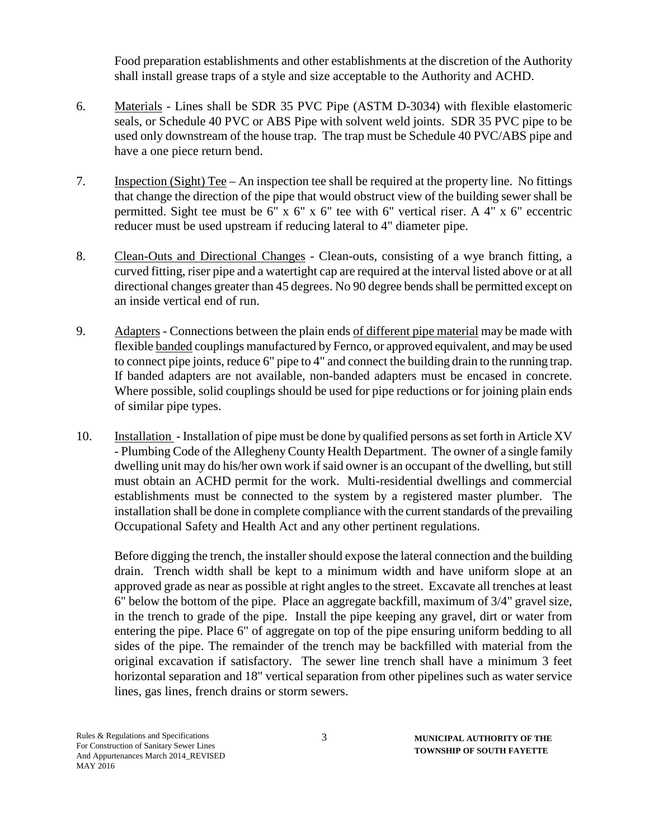Food preparation establishments and other establishments at the discretion of the Authority shall install grease traps of a style and size acceptable to the Authority and ACHD.

- 6. Materials Lines shall be SDR 35 PVC Pipe (ASTM D-3034) with flexible elastomeric seals, or Schedule 40 PVC or ABS Pipe with solvent weld joints. SDR 35 PVC pipe to be used only downstream of the house trap. The trap must be Schedule 40 PVC/ABS pipe and have a one piece return bend.
- 7. Inspection (Sight) Tee An inspection tee shall be required at the property line. No fittings that change the direction of the pipe that would obstruct view of the building sewer shall be permitted. Sight tee must be 6" x 6" x 6" tee with 6" vertical riser. A 4" x 6" eccentric reducer must be used upstream if reducing lateral to 4" diameter pipe.
- 8. Clean-Outs and Directional Changes Clean-outs, consisting of a wye branch fitting, a curved fitting, riser pipe and a watertight cap are required at the interval listed above or at all directional changes greater than 45 degrees. No 90 degree bends shall be permitted except on an inside vertical end of run.
- 9. Adapters Connections between the plain ends of different pipe material may be made with flexible banded couplings manufactured by Fernco, or approved equivalent, and may be used to connect pipe joints, reduce 6" pipe to 4" and connect the building drain to the running trap. If banded adapters are not available, non-banded adapters must be encased in concrete. Where possible, solid couplings should be used for pipe reductions or for joining plain ends of similar pipe types.
- 10. Installation Installation of pipe must be done by qualified persons as set forth in Article XV - Plumbing Code of the Allegheny County Health Department. The owner of a single family dwelling unit may do his/her own work if said owner is an occupant of the dwelling, but still must obtain an ACHD permit for the work. Multi-residential dwellings and commercial establishments must be connected to the system by a registered master plumber. The installation shall be done in complete compliance with the current standards of the prevailing Occupational Safety and Health Act and any other pertinent regulations.

Before digging the trench, the installer should expose the lateral connection and the building drain. Trench width shall be kept to a minimum width and have uniform slope at an approved grade as near as possible at right angles to the street. Excavate all trenches at least 6" below the bottom of the pipe. Place an aggregate backfill, maximum of 3/4" gravel size, in the trench to grade of the pipe. Install the pipe keeping any gravel, dirt or water from entering the pipe. Place 6" of aggregate on top of the pipe ensuring uniform bedding to all sides of the pipe. The remainder of the trench may be backfilled with material from the original excavation if satisfactory. The sewer line trench shall have a minimum 3 feet horizontal separation and 18" vertical separation from other pipelines such as water service lines, gas lines, french drains or storm sewers.